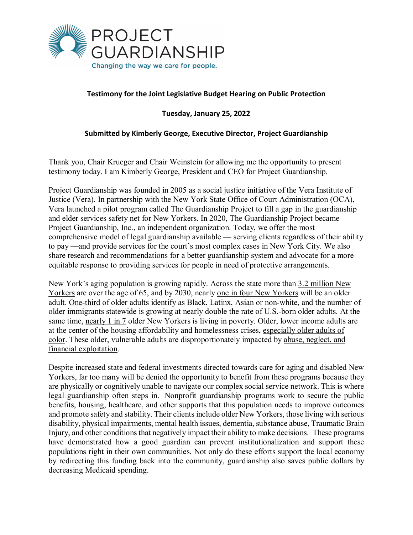

## **Testimony for the Joint Legislative Budget Hearing on Public Protection**

**Tuesday, January 25, 2022**

## **Submitted by Kimberly George, Executive Director, Project Guardianship**

Thank you, Chair Krueger and Chair Weinstein for allowing me the opportunity to present testimony today. I am Kimberly George, President and CEO for Project Guardianship.

Project Guardianship was founded in 2005 as a social justice initiative of the Vera Institute of Justice (Vera). In partnership with the New York State Office of Court Administration (OCA), Vera launched a pilot program called The Guardianship Project to fill a gap in the guardianship and elder services safety net for New Yorkers. In 2020, The Guardianship Project became Project Guardianship, Inc., an independent organization. Today, we offer the most comprehensive model of legal guardianship available — serving clients regardless of their ability to pay —and provide services for the court's most complex cases in New York City. We also share research and recommendations for a better guardianship system and advocate for a more equitable response to providing services for people in need of protective arrangements.

New York's aging population is growing rapidly. Across the state more than [3.2 million New](https://nycfuture.org/research/new-yorks-older-adult-population-is-booming-statewide)  [Yorkers](https://nycfuture.org/research/new-yorks-older-adult-population-is-booming-statewide) are over the age of 65, and by 2030, nearly [one in four New Yorkers](https://static1.squarespace.com/static/562a3197e4b0493d4ffd3105/t/59c3d1d5c534a53f59e153b2/1506005471796/CombinedFilesLiveOnNY_02.01.2017+FINAL+TO+SEND.pdf) will be an older adult. [One-third](https://nycfuture.org/research/new-yorks-older-adult-population-is-booming-statewide) of older adults identify as Black, Latinx, Asian or non-white, and the number of older immigrants statewide is growing at nearly [double the rate](https://nycfuture.org/research/new-yorks-older-adult-population-is-booming-statewide) of U.S.-born older adults. At the same time, [nearly 1 in 7](https://nycfuture.org/research/new-yorks-older-adult-population-is-booming-statewide) older New Yorkers is living in poverty. Older, lower income adults are at the center of the housing affordability and homelessness crises, [especially older adults of](https://justiceinaging.org/wp-content/uploads/2021/02/Older-Adults-Rental-Housing-Burdens.pdf)  [color.](https://justiceinaging.org/wp-content/uploads/2021/02/Older-Adults-Rental-Housing-Burdens.pdf) These older, vulnerable adults are disproportionately impacted by [abuse, neglect, and](https://www1.nyc.gov/assets/dfta/downloads/pdf/reports/UndertheRadar2011.pdf)  [financial exploitation.](https://www1.nyc.gov/assets/dfta/downloads/pdf/reports/UndertheRadar2011.pdf)

Despite increased [state and federal investments](https://www.governor.ny.gov/news/governor-hochul-announces-149-million-direct-community-support-distributed-aging-new-yorkers) directed towards care for aging and disabled New Yorkers, far too many will be denied the opportunity to benefit from these programs because they are physically or cognitively unable to navigate our complex social service network. This is where legal guardianship often steps in. Nonprofit guardianship programs work to secure the public benefits, housing, healthcare, and other supports that this population needs to improve outcomes and promote safety and stability. Their clients include older New Yorkers, those living with serious disability, physical impairments, mental health issues, dementia, substance abuse, Traumatic Brain Injury, and other conditions that negatively impact their ability to make decisions. These programs have demonstrated how a good guardian can prevent institutionalization and support these populations right in their own communities. Not only do these efforts support the local economy by redirecting this funding back into the community, guardianship also saves public dollars by decreasing Medicaid spending.